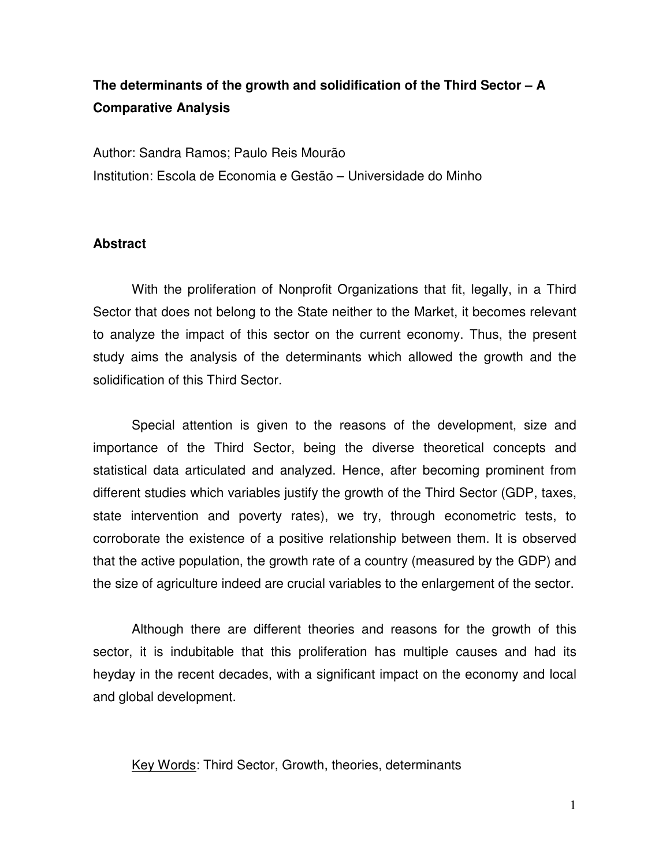# **The determinants of the growth and solidification of the Third Sector – A Comparative Analysis**

Author: Sandra Ramos; Paulo Reis Mourão Institution: Escola de Economia e Gestão – Universidade do Minho

## **Abstract**

With the proliferation of Nonprofit Organizations that fit, legally, in a Third Sector that does not belong to the State neither to the Market, it becomes relevant to analyze the impact of this sector on the current economy. Thus, the present study aims the analysis of the determinants which allowed the growth and the solidification of this Third Sector.

Special attention is given to the reasons of the development, size and importance of the Third Sector, being the diverse theoretical concepts and statistical data articulated and analyzed. Hence, after becoming prominent from different studies which variables justify the growth of the Third Sector (GDP, taxes, state intervention and poverty rates), we try, through econometric tests, to corroborate the existence of a positive relationship between them. It is observed that the active population, the growth rate of a country (measured by the GDP) and the size of agriculture indeed are crucial variables to the enlargement of the sector.

Although there are different theories and reasons for the growth of this sector, it is indubitable that this proliferation has multiple causes and had its heyday in the recent decades, with a significant impact on the economy and local and global development.

Key Words: Third Sector, Growth, theories, determinants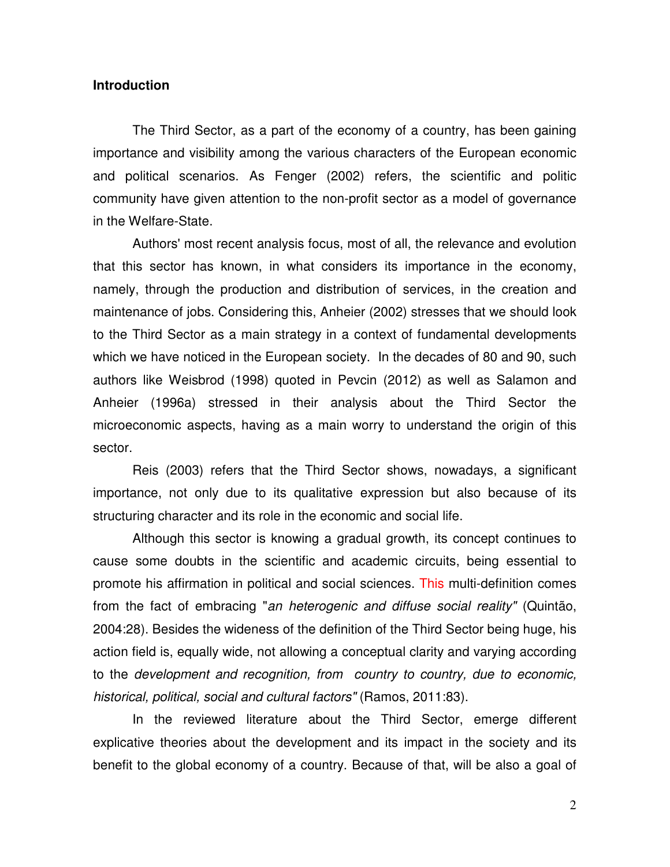#### **Introduction**

The Third Sector, as a part of the economy of a country, has been gaining importance and visibility among the various characters of the European economic and political scenarios. As Fenger (2002) refers, the scientific and politic community have given attention to the non-profit sector as a model of governance in the Welfare-State.

 Authors' most recent analysis focus, most of all, the relevance and evolution that this sector has known, in what considers its importance in the economy, namely, through the production and distribution of services, in the creation and maintenance of jobs. Considering this, Anheier (2002) stresses that we should look to the Third Sector as a main strategy in a context of fundamental developments which we have noticed in the European society. In the decades of 80 and 90, such authors like Weisbrod (1998) quoted in Pevcin (2012) as well as Salamon and Anheier (1996a) stressed in their analysis about the Third Sector the microeconomic aspects, having as a main worry to understand the origin of this sector.

 Reis (2003) refers that the Third Sector shows, nowadays, a significant importance, not only due to its qualitative expression but also because of its structuring character and its role in the economic and social life.

 Although this sector is knowing a gradual growth, its concept continues to cause some doubts in the scientific and academic circuits, being essential to promote his affirmation in political and social sciences. This multi-definition comes from the fact of embracing "*an heterogenic and diffuse social reality"* (Quintão, 2004:28). Besides the wideness of the definition of the Third Sector being huge, his action field is, equally wide, not allowing a conceptual clarity and varying according to the *development and recognition, from country to country, due to economic, historical, political, social and cultural factors"* (Ramos, 2011:83).

 In the reviewed literature about the Third Sector, emerge different explicative theories about the development and its impact in the society and its benefit to the global economy of a country. Because of that, will be also a goal of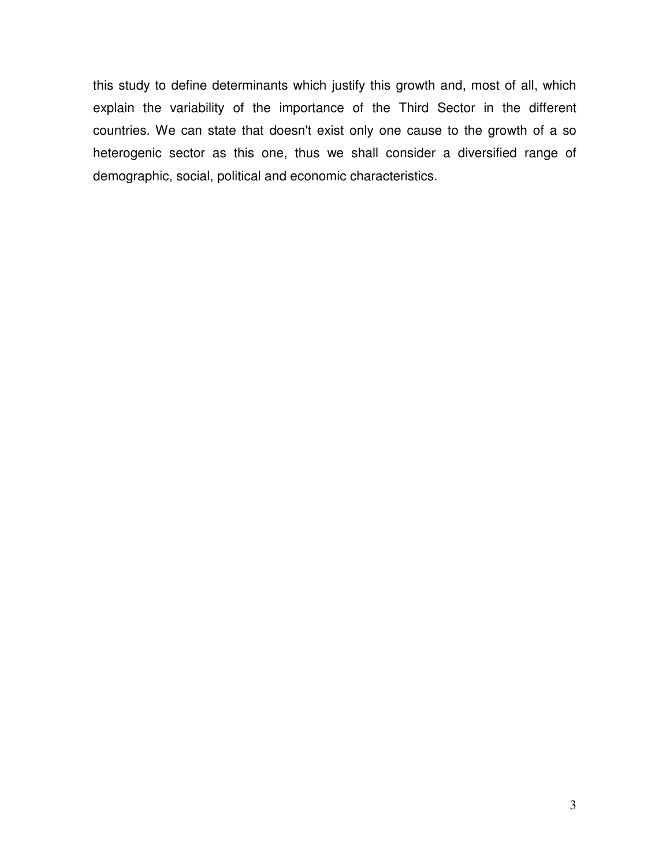this study to define determinants which justify this growth and, most of all, which explain the variability of the importance of the Third Sector in the different countries. We can state that doesn't exist only one cause to the growth of a so heterogenic sector as this one, thus we shall consider a diversified range of demographic, social, political and economic characteristics.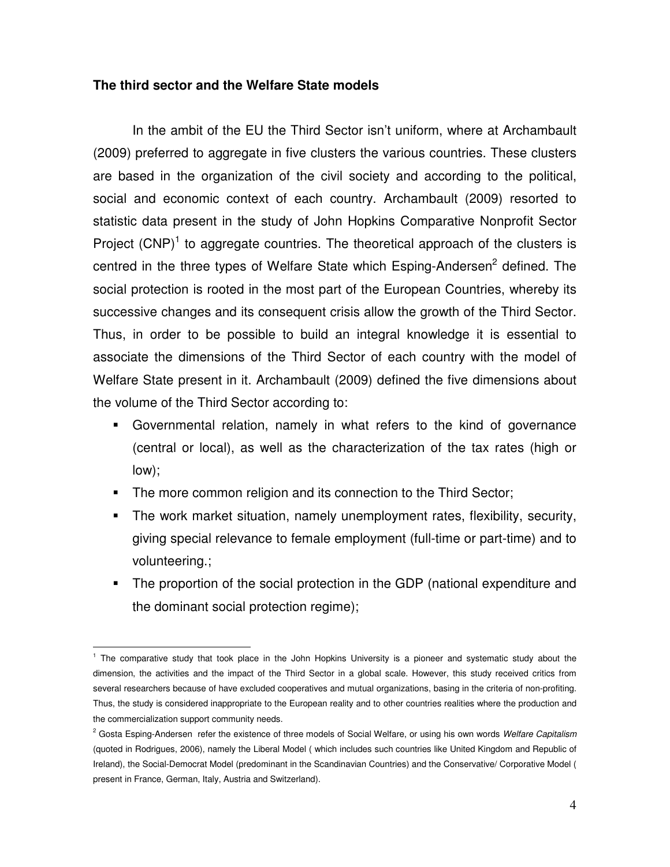## **The third sector and the Welfare State models**

 In the ambit of the EU the Third Sector isn't uniform, where at Archambault (2009) preferred to aggregate in five clusters the various countries. These clusters are based in the organization of the civil society and according to the political, social and economic context of each country. Archambault (2009) resorted to statistic data present in the study of John Hopkins Comparative Nonprofit Sector Project  $(CNP)^1$  to aggregate countries. The theoretical approach of the clusters is centred in the three types of Welfare State which Esping-Andersen<sup>2</sup> defined. The social protection is rooted in the most part of the European Countries, whereby its successive changes and its consequent crisis allow the growth of the Third Sector. Thus, in order to be possible to build an integral knowledge it is essential to associate the dimensions of the Third Sector of each country with the model of Welfare State present in it. Archambault (2009) defined the five dimensions about the volume of the Third Sector according to:

- Governmental relation, namely in what refers to the kind of governance (central or local), as well as the characterization of the tax rates (high or low);
- The more common religion and its connection to the Third Sector;
- The work market situation, namely unemployment rates, flexibility, security, giving special relevance to female employment (full-time or part-time) and to volunteering.;
- The proportion of the social protection in the GDP (national expenditure and the dominant social protection regime);

 $\overline{a}$ <sup>1</sup> The comparative study that took place in the John Hopkins University is a pioneer and systematic study about the dimension, the activities and the impact of the Third Sector in a global scale. However, this study received critics from several researchers because of have excluded cooperatives and mutual organizations, basing in the criteria of non-profiting. Thus, the study is considered inappropriate to the European reality and to other countries realities where the production and the commercialization support community needs.

<sup>2</sup> Gosta Esping-Andersen refer the existence of three models of Social Welfare, or using his own words *Welfare Capitalism*  (quoted in Rodrigues, 2006), namely the Liberal Model ( which includes such countries like United Kingdom and Republic of Ireland), the Social-Democrat Model (predominant in the Scandinavian Countries) and the Conservative/ Corporative Model ( present in France, German, Italy, Austria and Switzerland).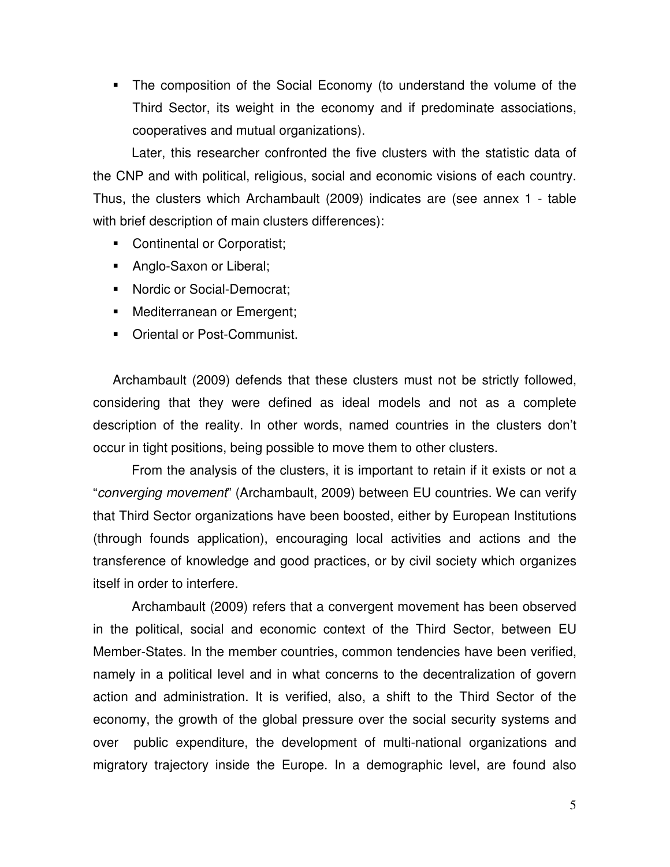• The composition of the Social Economy (to understand the volume of the Third Sector, its weight in the economy and if predominate associations, cooperatives and mutual organizations).

Later, this researcher confronted the five clusters with the statistic data of the CNP and with political, religious, social and economic visions of each country. Thus, the clusters which Archambault (2009) indicates are (see annex 1 - table with brief description of main clusters differences):

- Continental or Corporatist;
- Anglo-Saxon or Liberal;
- Nordic or Social-Democrat;
- Mediterranean or Emergent;
- Oriental or Post-Communist.

Archambault (2009) defends that these clusters must not be strictly followed, considering that they were defined as ideal models and not as a complete description of the reality. In other words, named countries in the clusters don't occur in tight positions, being possible to move them to other clusters.

From the analysis of the clusters, it is important to retain if it exists or not a "*converging movement*" (Archambault, 2009) between EU countries. We can verify that Third Sector organizations have been boosted, either by European Institutions (through founds application), encouraging local activities and actions and the transference of knowledge and good practices, or by civil society which organizes itself in order to interfere.

Archambault (2009) refers that a convergent movement has been observed in the political, social and economic context of the Third Sector, between EU Member-States. In the member countries, common tendencies have been verified, namely in a political level and in what concerns to the decentralization of govern action and administration. It is verified, also, a shift to the Third Sector of the economy, the growth of the global pressure over the social security systems and over public expenditure, the development of multi-national organizations and migratory trajectory inside the Europe. In a demographic level, are found also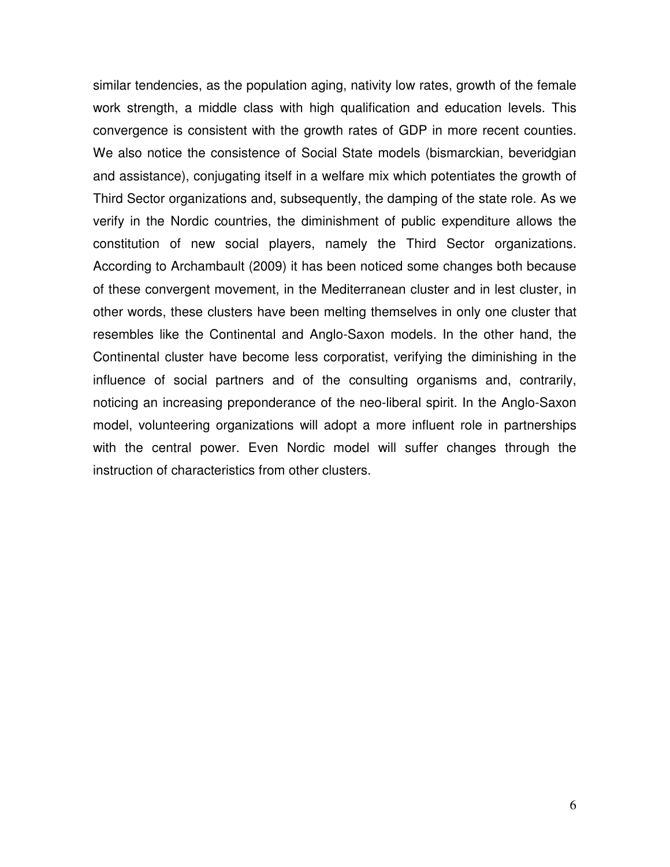similar tendencies, as the population aging, nativity low rates, growth of the female work strength, a middle class with high qualification and education levels. This convergence is consistent with the growth rates of GDP in more recent counties. We also notice the consistence of Social State models (bismarckian, beveridgian and assistance), conjugating itself in a welfare mix which potentiates the growth of Third Sector organizations and, subsequently, the damping of the state role. As we verify in the Nordic countries, the diminishment of public expenditure allows the constitution of new social players, namely the Third Sector organizations. According to Archambault (2009) it has been noticed some changes both because of these convergent movement, in the Mediterranean cluster and in lest cluster, in other words, these clusters have been melting themselves in only one cluster that resembles like the Continental and Anglo-Saxon models. In the other hand, the Continental cluster have become less corporatist, verifying the diminishing in the influence of social partners and of the consulting organisms and, contrarily, noticing an increasing preponderance of the neo-liberal spirit. In the Anglo-Saxon model, volunteering organizations will adopt a more influent role in partnerships with the central power. Even Nordic model will suffer changes through the instruction of characteristics from other clusters.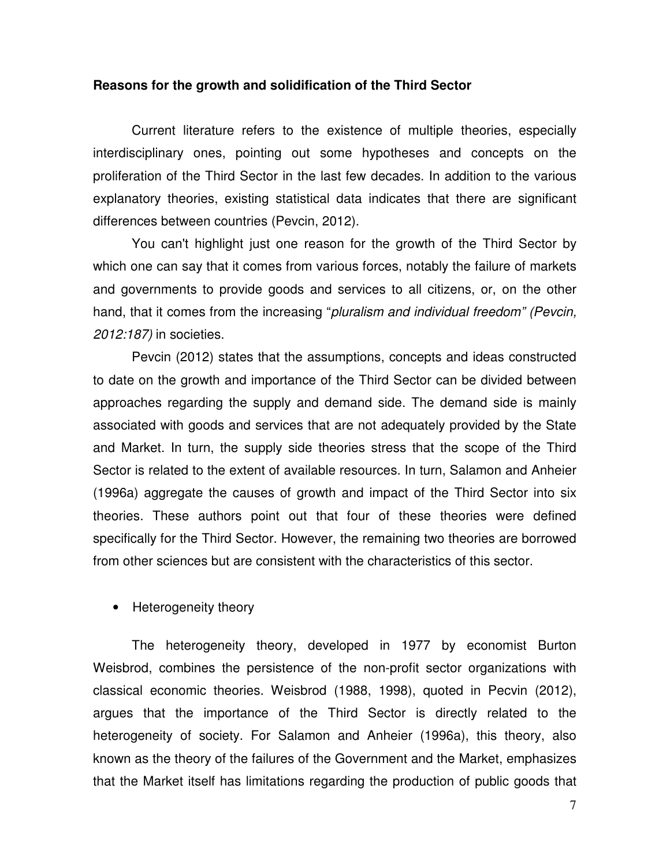#### **Reasons for the growth and solidification of the Third Sector**

Current literature refers to the existence of multiple theories, especially interdisciplinary ones, pointing out some hypotheses and concepts on the proliferation of the Third Sector in the last few decades. In addition to the various explanatory theories, existing statistical data indicates that there are significant differences between countries (Pevcin, 2012).

You can't highlight just one reason for the growth of the Third Sector by which one can say that it comes from various forces, notably the failure of markets and governments to provide goods and services to all citizens, or, on the other hand, that it comes from the increasing "*pluralism and individual freedom" (Pevcin, 2012:187)* in societies.

Pevcin (2012) states that the assumptions, concepts and ideas constructed to date on the growth and importance of the Third Sector can be divided between approaches regarding the supply and demand side. The demand side is mainly associated with goods and services that are not adequately provided by the State and Market. In turn, the supply side theories stress that the scope of the Third Sector is related to the extent of available resources. In turn, Salamon and Anheier (1996a) aggregate the causes of growth and impact of the Third Sector into six theories. These authors point out that four of these theories were defined specifically for the Third Sector. However, the remaining two theories are borrowed from other sciences but are consistent with the characteristics of this sector.

• Heterogeneity theory

The heterogeneity theory, developed in 1977 by economist Burton Weisbrod, combines the persistence of the non-profit sector organizations with classical economic theories. Weisbrod (1988, 1998), quoted in Pecvin (2012), argues that the importance of the Third Sector is directly related to the heterogeneity of society. For Salamon and Anheier (1996a), this theory, also known as the theory of the failures of the Government and the Market, emphasizes that the Market itself has limitations regarding the production of public goods that

7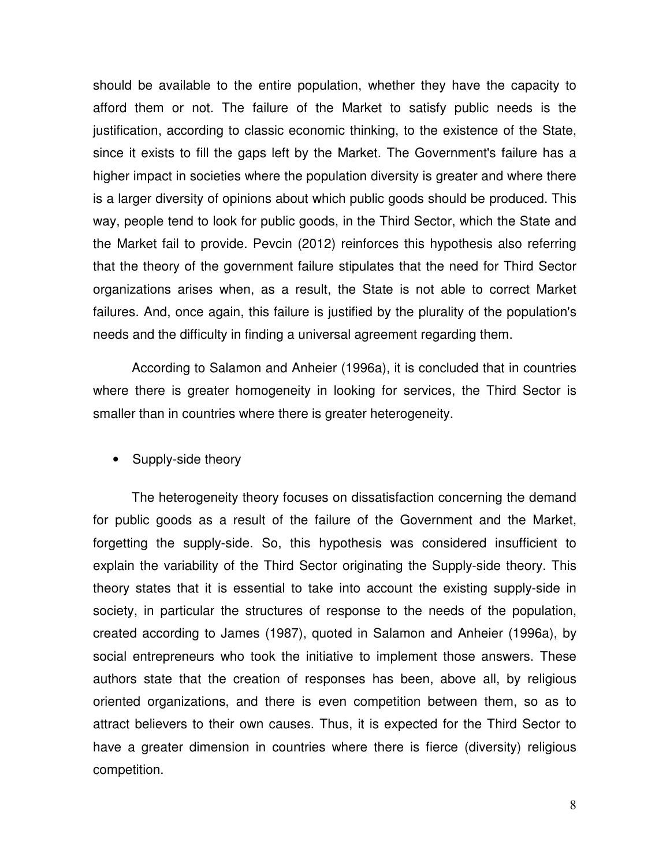should be available to the entire population, whether they have the capacity to afford them or not. The failure of the Market to satisfy public needs is the justification, according to classic economic thinking, to the existence of the State, since it exists to fill the gaps left by the Market. The Government's failure has a higher impact in societies where the population diversity is greater and where there is a larger diversity of opinions about which public goods should be produced. This way, people tend to look for public goods, in the Third Sector, which the State and the Market fail to provide. Pevcin (2012) reinforces this hypothesis also referring that the theory of the government failure stipulates that the need for Third Sector organizations arises when, as a result, the State is not able to correct Market failures. And, once again, this failure is justified by the plurality of the population's needs and the difficulty in finding a universal agreement regarding them.

According to Salamon and Anheier (1996a), it is concluded that in countries where there is greater homogeneity in looking for services, the Third Sector is smaller than in countries where there is greater heterogeneity.

• Supply-side theory

The heterogeneity theory focuses on dissatisfaction concerning the demand for public goods as a result of the failure of the Government and the Market, forgetting the supply-side. So, this hypothesis was considered insufficient to explain the variability of the Third Sector originating the Supply-side theory. This theory states that it is essential to take into account the existing supply-side in society, in particular the structures of response to the needs of the population, created according to James (1987), quoted in Salamon and Anheier (1996a), by social entrepreneurs who took the initiative to implement those answers. These authors state that the creation of responses has been, above all, by religious oriented organizations, and there is even competition between them, so as to attract believers to their own causes. Thus, it is expected for the Third Sector to have a greater dimension in countries where there is fierce (diversity) religious competition.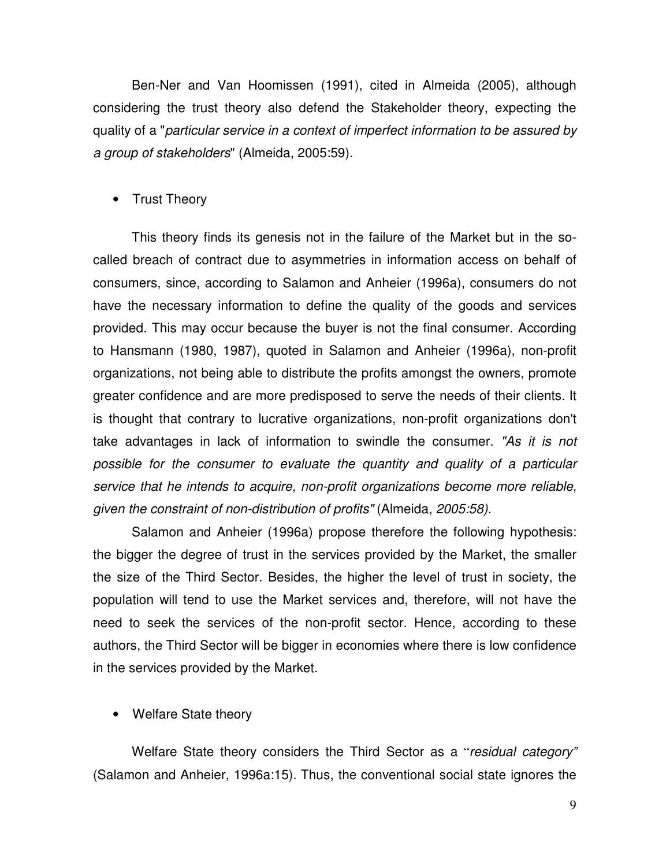Ben-Ner and Van Hoomissen (1991), cited in Almeida (2005), although considering the trust theory also defend the Stakeholder theory, expecting the quality of a "*particular service in a context of imperfect information to be assured by a group of stakeholders*" (Almeida, 2005:59).

## • Trust Theory

This theory finds its genesis not in the failure of the Market but in the socalled breach of contract due to asymmetries in information access on behalf of consumers, since, according to Salamon and Anheier (1996a), consumers do not have the necessary information to define the quality of the goods and services provided. This may occur because the buyer is not the final consumer. According to Hansmann (1980, 1987), quoted in Salamon and Anheier (1996a), non-profit organizations, not being able to distribute the profits amongst the owners, promote greater confidence and are more predisposed to serve the needs of their clients. It is thought that contrary to lucrative organizations, non-profit organizations don't take advantages in lack of information to swindle the consumer. *"As it is not possible for the consumer to evaluate the quantity and quality of a particular service that he intends to acquire, non-profit organizations become more reliable, given the constraint of non-distribution of profits"* (Almeida, *2005:58).*

Salamon and Anheier (1996a) propose therefore the following hypothesis: the bigger the degree of trust in the services provided by the Market, the smaller the size of the Third Sector. Besides, the higher the level of trust in society, the population will tend to use the Market services and, therefore, will not have the need to seek the services of the non-profit sector. Hence, according to these authors, the Third Sector will be bigger in economies where there is low confidence in the services provided by the Market.

• Welfare State theory

Welfare State theory considers the Third Sector as a "*residual category"* (Salamon and Anheier, 1996a:15). Thus, the conventional social state ignores the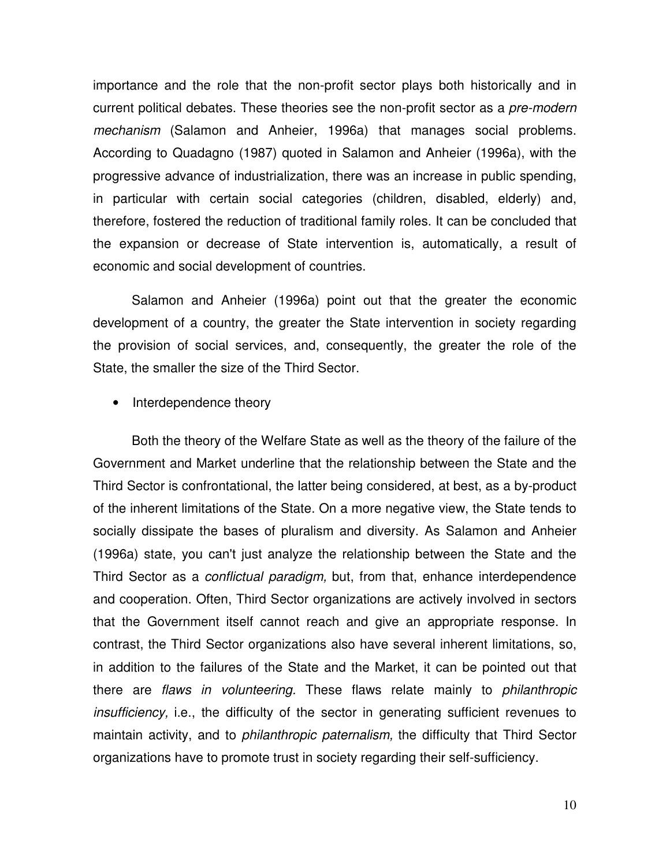importance and the role that the non-profit sector plays both historically and in current political debates. These theories see the non-profit sector as a *pre-modern mechanism* (Salamon and Anheier, 1996a) that manages social problems. According to Quadagno (1987) quoted in Salamon and Anheier (1996a), with the progressive advance of industrialization, there was an increase in public spending, in particular with certain social categories (children, disabled, elderly) and, therefore, fostered the reduction of traditional family roles. It can be concluded that the expansion or decrease of State intervention is, automatically, a result of economic and social development of countries.

Salamon and Anheier (1996a) point out that the greater the economic development of a country, the greater the State intervention in society regarding the provision of social services, and, consequently, the greater the role of the State, the smaller the size of the Third Sector.

• Interdependence theory

Both the theory of the Welfare State as well as the theory of the failure of the Government and Market underline that the relationship between the State and the Third Sector is confrontational, the latter being considered, at best, as a by-product of the inherent limitations of the State. On a more negative view, the State tends to socially dissipate the bases of pluralism and diversity. As Salamon and Anheier (1996a) state, you can't just analyze the relationship between the State and the Third Sector as a *conflictual paradigm,* but, from that, enhance interdependence and cooperation. Often, Third Sector organizations are actively involved in sectors that the Government itself cannot reach and give an appropriate response. In contrast, the Third Sector organizations also have several inherent limitations, so, in addition to the failures of the State and the Market, it can be pointed out that there are *flaws in volunteering.* These flaws relate mainly to *philanthropic insufficiency,* i.e., the difficulty of the sector in generating sufficient revenues to maintain activity, and to *philanthropic paternalism,* the difficulty that Third Sector organizations have to promote trust in society regarding their self-sufficiency.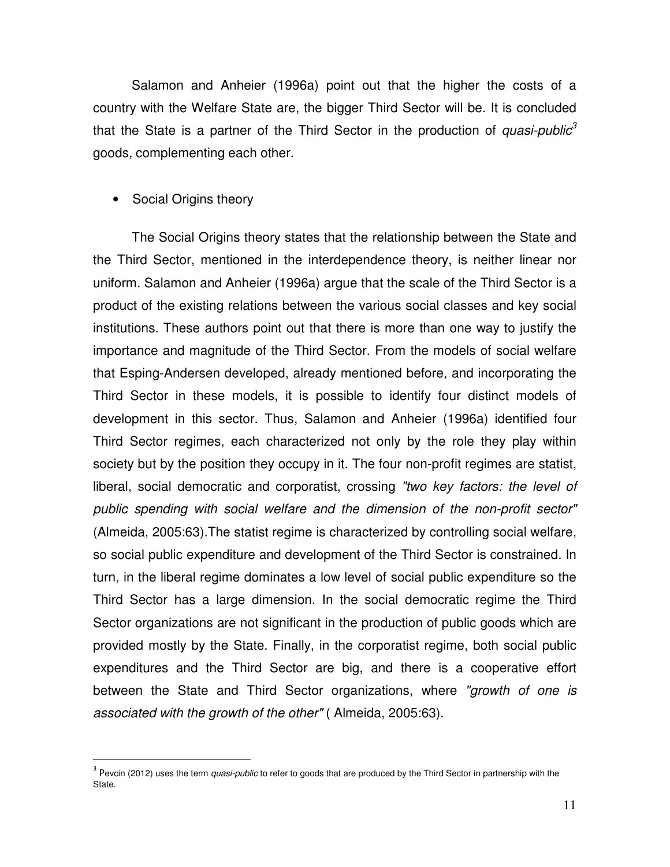Salamon and Anheier (1996a) point out that the higher the costs of a country with the Welfare State are, the bigger Third Sector will be. It is concluded that the State is a partner of the Third Sector in the production of *quasi-public<sup>3</sup>* goods*,* complementing each other.

## • Social Origins theory

 $\overline{a}$ 

The Social Origins theory states that the relationship between the State and the Third Sector, mentioned in the interdependence theory, is neither linear nor uniform. Salamon and Anheier (1996a) argue that the scale of the Third Sector is a product of the existing relations between the various social classes and key social institutions. These authors point out that there is more than one way to justify the importance and magnitude of the Third Sector. From the models of social welfare that Esping-Andersen developed, already mentioned before, and incorporating the Third Sector in these models, it is possible to identify four distinct models of development in this sector. Thus, Salamon and Anheier (1996a) identified four Third Sector regimes, each characterized not only by the role they play within society but by the position they occupy in it. The four non-profit regimes are statist, liberal, social democratic and corporatist, crossing *"two key factors: the level of public spending with social welfare and the dimension of the non-profit sector"* (Almeida, 2005:63).The statist regime is characterized by controlling social welfare, so social public expenditure and development of the Third Sector is constrained. In turn, in the liberal regime dominates a low level of social public expenditure so the Third Sector has a large dimension. In the social democratic regime the Third Sector organizations are not significant in the production of public goods which are provided mostly by the State. Finally, in the corporatist regime, both social public expenditures and the Third Sector are big, and there is a cooperative effort between the State and Third Sector organizations, where *"growth of one is associated with the growth of the other"* ( Almeida, 2005:63).

<sup>&</sup>lt;sup>3</sup> Pevcin (2012) uses the term *quasi-public* to refer to goods that are produced by the Third Sector in partnership with the State.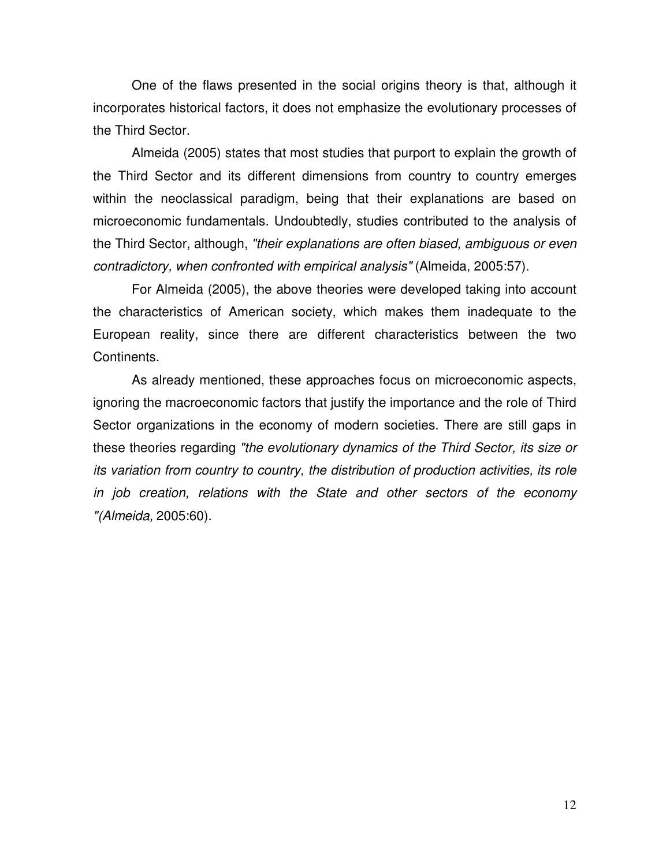One of the flaws presented in the social origins theory is that, although it incorporates historical factors, it does not emphasize the evolutionary processes of the Third Sector.

Almeida (2005) states that most studies that purport to explain the growth of the Third Sector and its different dimensions from country to country emerges within the neoclassical paradigm, being that their explanations are based on microeconomic fundamentals. Undoubtedly, studies contributed to the analysis of the Third Sector, although, *"their explanations are often biased, ambiguous or even contradictory, when confronted with empirical analysis"* (Almeida, 2005:57).

For Almeida (2005), the above theories were developed taking into account the characteristics of American society, which makes them inadequate to the European reality, since there are different characteristics between the two Continents.

As already mentioned, these approaches focus on microeconomic aspects, ignoring the macroeconomic factors that justify the importance and the role of Third Sector organizations in the economy of modern societies. There are still gaps in these theories regarding *"the evolutionary dynamics of the Third Sector, its size or its variation from country to country, the distribution of production activities, its role in job creation, relations with the State and other sectors of the economy "(Almeida,* 2005:60).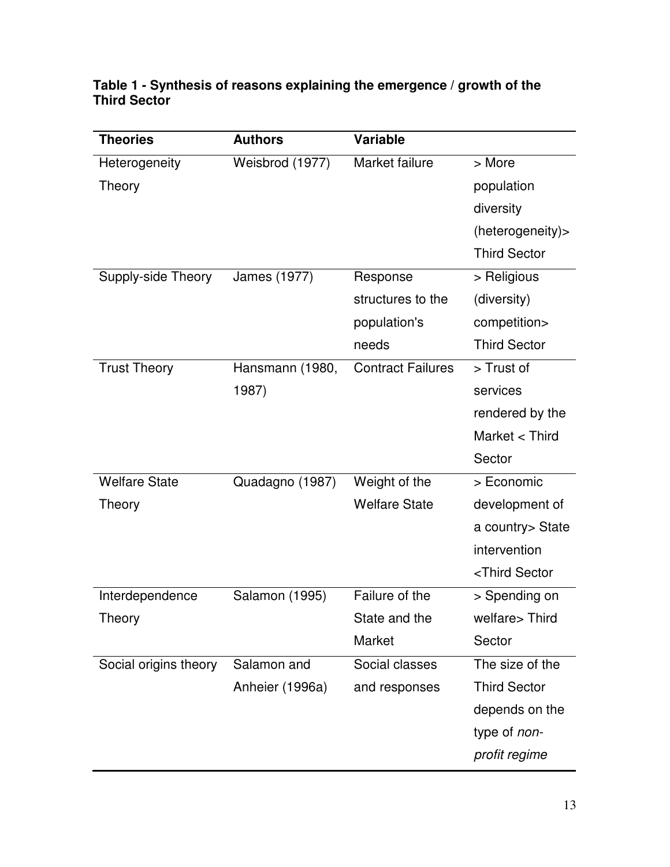| <b>Theories</b>       | <b>Authors</b>  | <b>Variable</b>          |                                  |
|-----------------------|-----------------|--------------------------|----------------------------------|
| Heterogeneity         | Weisbrod (1977) | Market failure           | > More                           |
| Theory                |                 |                          | population                       |
|                       |                 |                          | diversity                        |
|                       |                 |                          | (heterogeneity)>                 |
|                       |                 |                          | <b>Third Sector</b>              |
| Supply-side Theory    | James (1977)    | Response                 | > Religious                      |
|                       |                 | structures to the        | (diversity)                      |
|                       |                 | population's             | competition>                     |
|                       |                 | needs                    | <b>Third Sector</b>              |
| <b>Trust Theory</b>   | Hansmann (1980, | <b>Contract Failures</b> | > Trust of                       |
|                       | 1987)           |                          | services                         |
|                       |                 |                          | rendered by the                  |
|                       |                 |                          | Market < Third                   |
|                       |                 |                          | Sector                           |
| <b>Welfare State</b>  | Quadagno (1987) | Weight of the            | > Economic                       |
| Theory                |                 | <b>Welfare State</b>     | development of                   |
|                       |                 |                          | a country > State                |
|                       |                 |                          | intervention                     |
|                       |                 |                          | <third sector<="" td=""></third> |
| Interdependence       | Salamon (1995)  | Failure of the           | > Spending on                    |
| Theory                |                 | State and the            | welfare> Third                   |
|                       |                 | Market                   | Sector                           |
| Social origins theory | Salamon and     | Social classes           | The size of the                  |
|                       | Anheier (1996a) | and responses            | <b>Third Sector</b>              |
|                       |                 |                          | depends on the                   |
|                       |                 |                          | type of non-                     |
|                       |                 |                          | profit regime                    |

## **Table 1 - Synthesis of reasons explaining the emergence / growth of the Third Sector**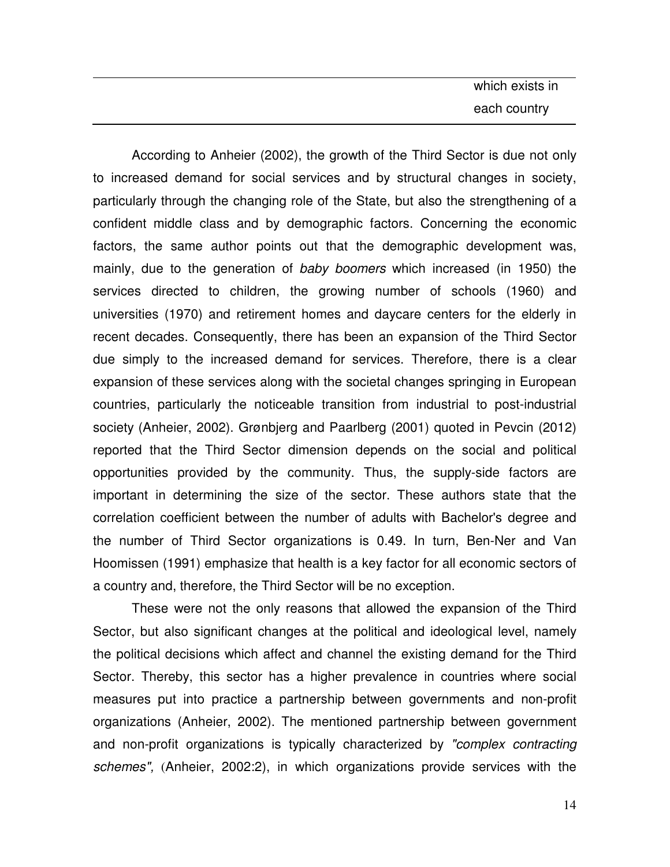According to Anheier (2002), the growth of the Third Sector is due not only to increased demand for social services and by structural changes in society, particularly through the changing role of the State, but also the strengthening of a confident middle class and by demographic factors. Concerning the economic factors, the same author points out that the demographic development was, mainly, due to the generation of *baby boomers* which increased (in 1950) the services directed to children, the growing number of schools (1960) and universities (1970) and retirement homes and daycare centers for the elderly in recent decades. Consequently, there has been an expansion of the Third Sector due simply to the increased demand for services. Therefore, there is a clear expansion of these services along with the societal changes springing in European countries, particularly the noticeable transition from industrial to post-industrial society (Anheier, 2002). Grønbjerg and Paarlberg (2001) quoted in Pevcin (2012) reported that the Third Sector dimension depends on the social and political opportunities provided by the community. Thus, the supply-side factors are important in determining the size of the sector. These authors state that the correlation coefficient between the number of adults with Bachelor's degree and the number of Third Sector organizations is 0.49. In turn, Ben-Ner and Van Hoomissen (1991) emphasize that health is a key factor for all economic sectors of a country and, therefore, the Third Sector will be no exception.

These were not the only reasons that allowed the expansion of the Third Sector, but also significant changes at the political and ideological level, namely the political decisions which affect and channel the existing demand for the Third Sector. Thereby, this sector has a higher prevalence in countries where social measures put into practice a partnership between governments and non-profit organizations (Anheier, 2002). The mentioned partnership between government and non-profit organizations is typically characterized by *"complex contracting schemes",* (Anheier, 2002:2), in which organizations provide services with the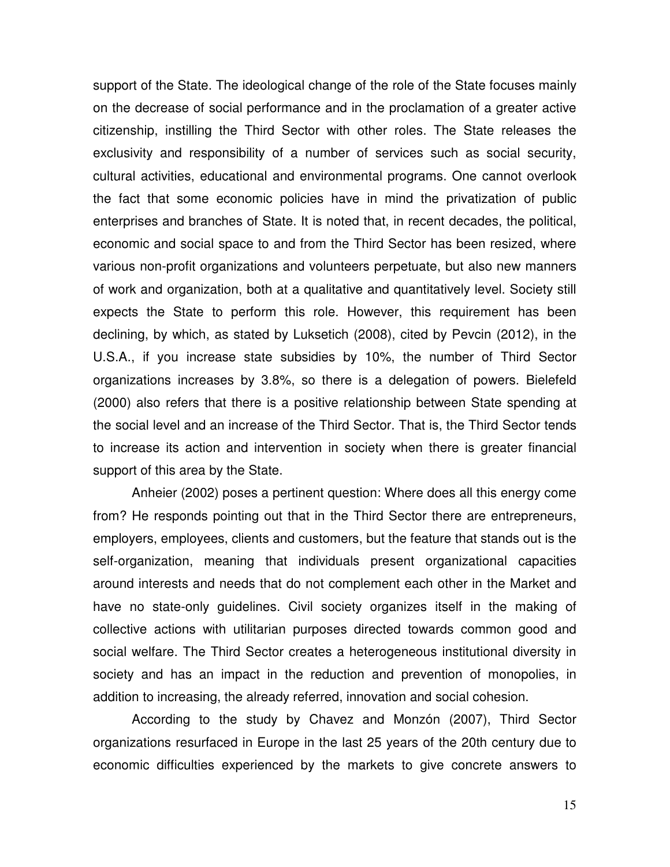support of the State. The ideological change of the role of the State focuses mainly on the decrease of social performance and in the proclamation of a greater active citizenship, instilling the Third Sector with other roles. The State releases the exclusivity and responsibility of a number of services such as social security, cultural activities, educational and environmental programs. One cannot overlook the fact that some economic policies have in mind the privatization of public enterprises and branches of State. It is noted that, in recent decades, the political, economic and social space to and from the Third Sector has been resized, where various non-profit organizations and volunteers perpetuate, but also new manners of work and organization, both at a qualitative and quantitatively level. Society still expects the State to perform this role. However, this requirement has been declining, by which, as stated by Luksetich (2008), cited by Pevcin (2012), in the U.S.A., if you increase state subsidies by 10%, the number of Third Sector organizations increases by 3.8%, so there is a delegation of powers. Bielefeld (2000) also refers that there is a positive relationship between State spending at the social level and an increase of the Third Sector. That is, the Third Sector tends to increase its action and intervention in society when there is greater financial support of this area by the State.

Anheier (2002) poses a pertinent question: Where does all this energy come from? He responds pointing out that in the Third Sector there are entrepreneurs, employers, employees, clients and customers, but the feature that stands out is the self-organization, meaning that individuals present organizational capacities around interests and needs that do not complement each other in the Market and have no state-only guidelines. Civil society organizes itself in the making of collective actions with utilitarian purposes directed towards common good and social welfare. The Third Sector creates a heterogeneous institutional diversity in society and has an impact in the reduction and prevention of monopolies, in addition to increasing, the already referred, innovation and social cohesion.

According to the study by Chavez and Monzón (2007), Third Sector organizations resurfaced in Europe in the last 25 years of the 20th century due to economic difficulties experienced by the markets to give concrete answers to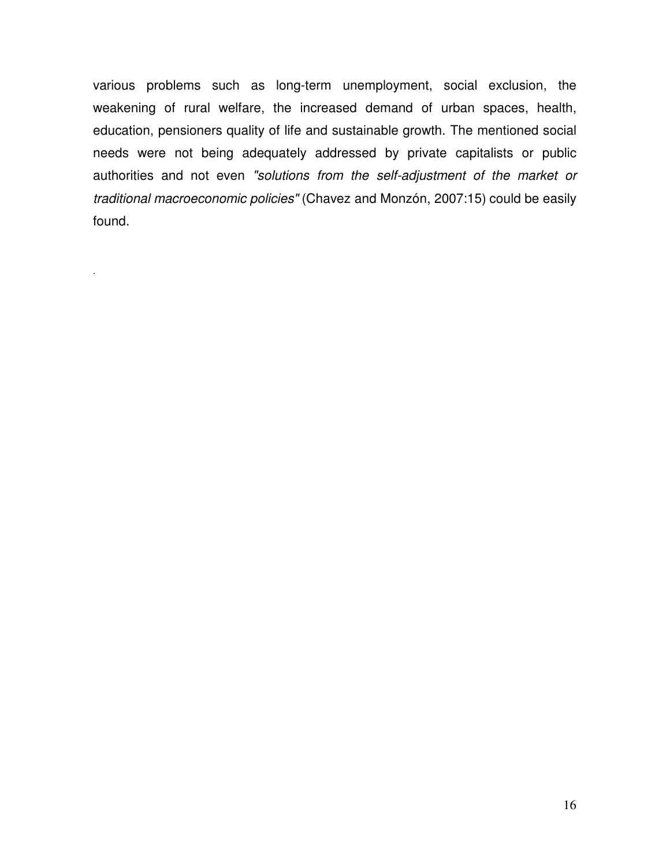various problems such as long-term unemployment, social exclusion, the weakening of rural welfare, the increased demand of urban spaces, health, education, pensioners quality of life and sustainable growth. The mentioned social needs were not being adequately addressed by private capitalists or public authorities and not even *"solutions from the self-adjustment of the market or traditional macroeconomic policies"* (Chavez and Monzón, 2007:15) could be easily found.

.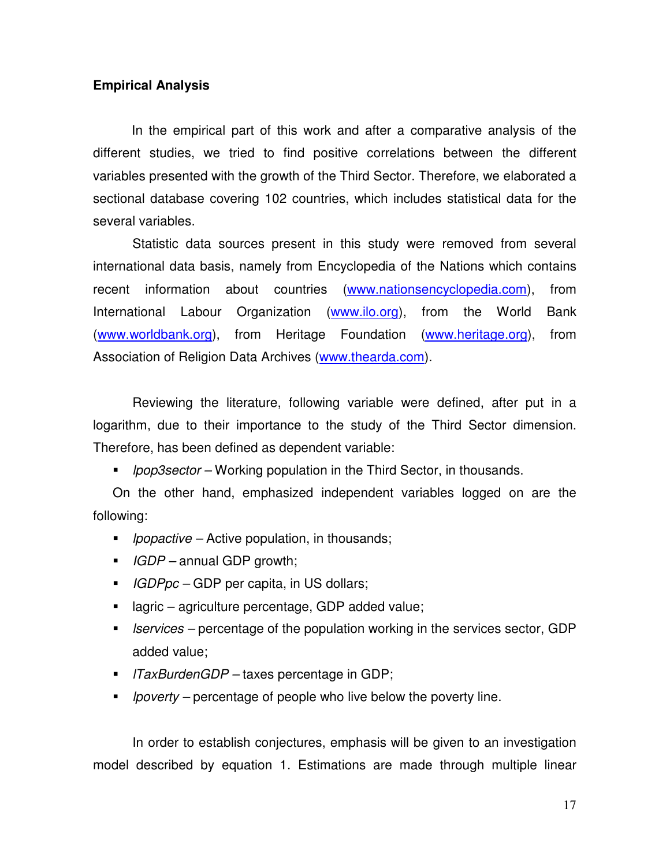## **Empirical Analysis**

In the empirical part of this work and after a comparative analysis of the different studies, we tried to find positive correlations between the different variables presented with the growth of the Third Sector. Therefore, we elaborated a sectional database covering 102 countries, which includes statistical data for the several variables.

Statistic data sources present in this study were removed from several international data basis, namely from Encyclopedia of the Nations which contains recent information about countries (www.nationsencyclopedia.com), from International Labour Organization (www.ilo.org), from the World Bank (www.worldbank.org), from Heritage Foundation (www.heritage.org), from Association of Religion Data Archives (www.thearda.com).

Reviewing the literature, following variable were defined, after put in a logarithm, due to their importance to the study of the Third Sector dimension. Therefore, has been defined as dependent variable:

*lpop3sector –* Working population in the Third Sector, in thousands.

On the other hand, emphasized independent variables logged on are the following:

- *lpopactive* Active population, in thousands;
- *IGDP* annual GDP growth;
- *IGDPpc* GDP per capita, in US dollars;
- lagric agriculture percentage, GDP added value;
- *lservices* percentage of the population working in the services sector, GDP added value;
- *lTaxBurdenGDP* taxes percentage in GDP;
- *lpoverty* percentage of people who live below the poverty line.

In order to establish conjectures, emphasis will be given to an investigation model described by equation 1. Estimations are made through multiple linear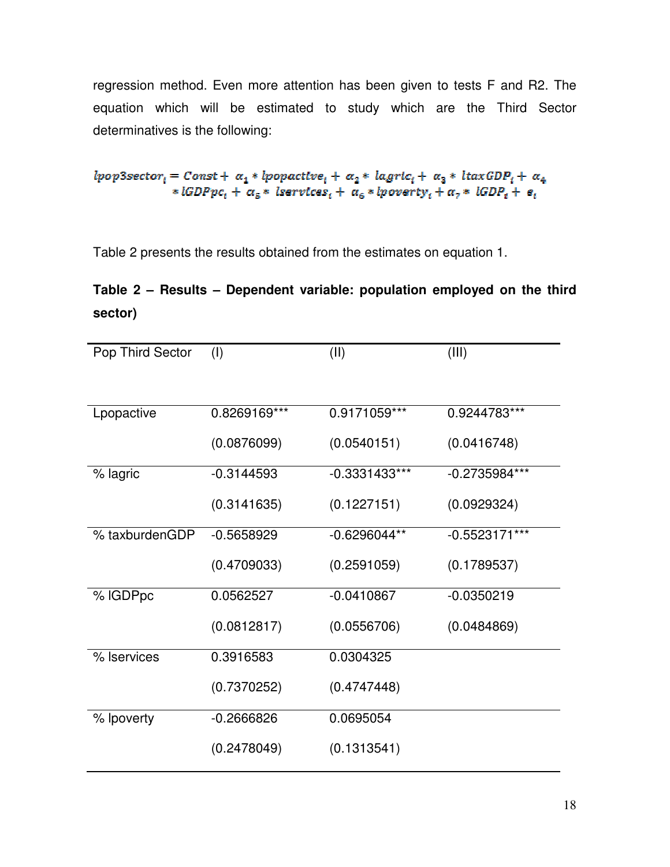regression method. Even more attention has been given to tests F and R2. The equation which will be estimated to study which are the Third Sector determinatives is the following:

 $lpop3sector_i = Const + \alpha_1 * lpopactive_i + \alpha_2 * lagric_i + \alpha_3 * ltaxGDP_i + \alpha_4$ \*  $lGDPpc_i + \alpha_5$ \* Iservices<sub>i</sub> +  $\alpha_6$ \* *lpoverty*<sub>i</sub> +  $\alpha_7$ \* *IGDP*<sub>i</sub> +  $e_i$ 

Table 2 presents the results obtained from the estimates on equation 1.

# **Table 2 – Results – Dependent variable: population employed on the third sector)**

| Pop Third Sector | (1)          | (II)            | (III)           |
|------------------|--------------|-----------------|-----------------|
|                  |              |                 |                 |
| Lpopactive       | 0.8269169*** | 0.9171059***    | 0.9244783***    |
|                  | (0.0876099)  | (0.0540151)     | (0.0416748)     |
| % lagric         | $-0.3144593$ | $-0.3331433***$ | $-0.2735984***$ |
|                  | (0.3141635)  | (0.1227151)     | (0.0929324)     |
| % taxburdenGDP   | $-0.5658929$ | $-0.6296044**$  | $-0.5523171***$ |
|                  | (0.4709033)  | (0.2591059)     | (0.1789537)     |
| % IGDPpc         | 0.0562527    | $-0.0410867$    | $-0.0350219$    |
|                  | (0.0812817)  | (0.0556706)     | (0.0484869)     |
| % Iservices      | 0.3916583    | 0.0304325       |                 |
|                  | (0.7370252)  | (0.4747448)     |                 |
| % lpoverty       | $-0.2666826$ | 0.0695054       |                 |
|                  | (0.2478049)  | (0.1313541)     |                 |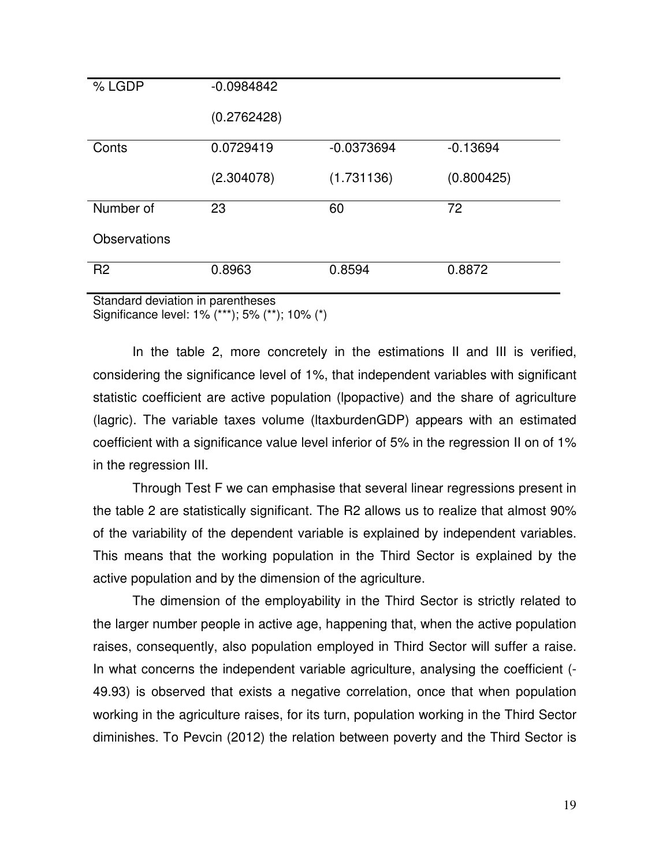| % LGDP              | $-0.0984842$ |              |            |
|---------------------|--------------|--------------|------------|
|                     | (0.2762428)  |              |            |
| Conts               | 0.0729419    | $-0.0373694$ | $-0.13694$ |
|                     | (2.304078)   | (1.731136)   | (0.800425) |
| Number of           | 23           | 60           | 72         |
| <b>Observations</b> |              |              |            |
| R <sub>2</sub>      | 0.8963       | 0.8594       | 0.8872     |
|                     | .            |              |            |

Standard deviation in parentheses Significance level: 1% (\*\*\*); 5% (\*\*); 10% (\*)

In the table 2, more concretely in the estimations II and III is verified, considering the significance level of 1%, that independent variables with significant statistic coefficient are active population (lpopactive) and the share of agriculture (lagric). The variable taxes volume (ltaxburdenGDP) appears with an estimated coefficient with a significance value level inferior of 5% in the regression II on of 1% in the regression III.

Through Test F we can emphasise that several linear regressions present in the table 2 are statistically significant. The R2 allows us to realize that almost 90% of the variability of the dependent variable is explained by independent variables. This means that the working population in the Third Sector is explained by the active population and by the dimension of the agriculture.

The dimension of the employability in the Third Sector is strictly related to the larger number people in active age, happening that, when the active population raises, consequently, also population employed in Third Sector will suffer a raise. In what concerns the independent variable agriculture, analysing the coefficient (- 49.93) is observed that exists a negative correlation, once that when population working in the agriculture raises, for its turn, population working in the Third Sector diminishes. To Pevcin (2012) the relation between poverty and the Third Sector is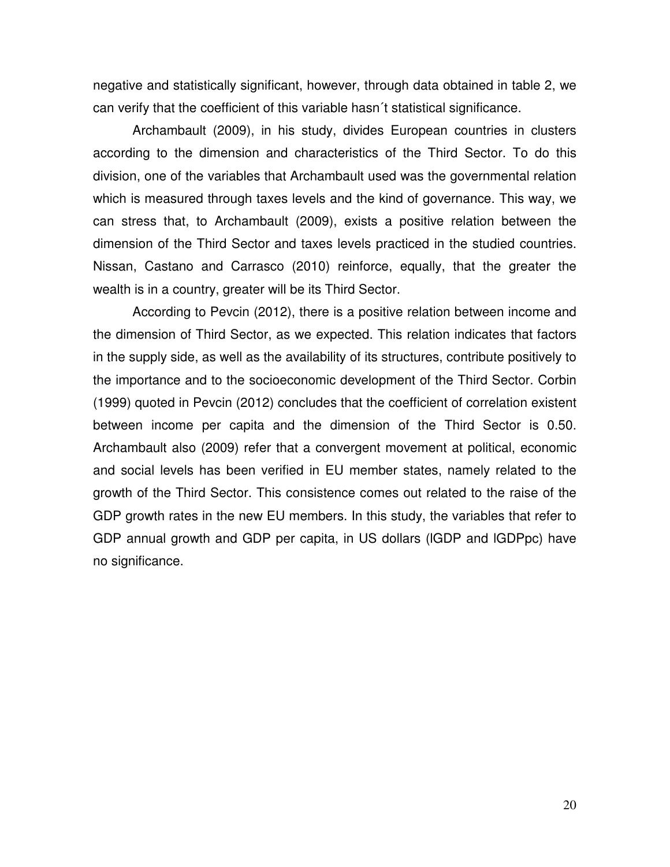negative and statistically significant, however, through data obtained in table 2, we can verify that the coefficient of this variable hasn´t statistical significance.

Archambault (2009), in his study, divides European countries in clusters according to the dimension and characteristics of the Third Sector. To do this division, one of the variables that Archambault used was the governmental relation which is measured through taxes levels and the kind of governance. This way, we can stress that, to Archambault (2009), exists a positive relation between the dimension of the Third Sector and taxes levels practiced in the studied countries. Nissan, Castano and Carrasco (2010) reinforce, equally, that the greater the wealth is in a country, greater will be its Third Sector.

According to Pevcin (2012), there is a positive relation between income and the dimension of Third Sector, as we expected. This relation indicates that factors in the supply side, as well as the availability of its structures, contribute positively to the importance and to the socioeconomic development of the Third Sector. Corbin (1999) quoted in Pevcin (2012) concludes that the coefficient of correlation existent between income per capita and the dimension of the Third Sector is 0.50. Archambault also (2009) refer that a convergent movement at political, economic and social levels has been verified in EU member states, namely related to the growth of the Third Sector. This consistence comes out related to the raise of the GDP growth rates in the new EU members. In this study, the variables that refer to GDP annual growth and GDP per capita, in US dollars (lGDP and lGDPpc) have no significance.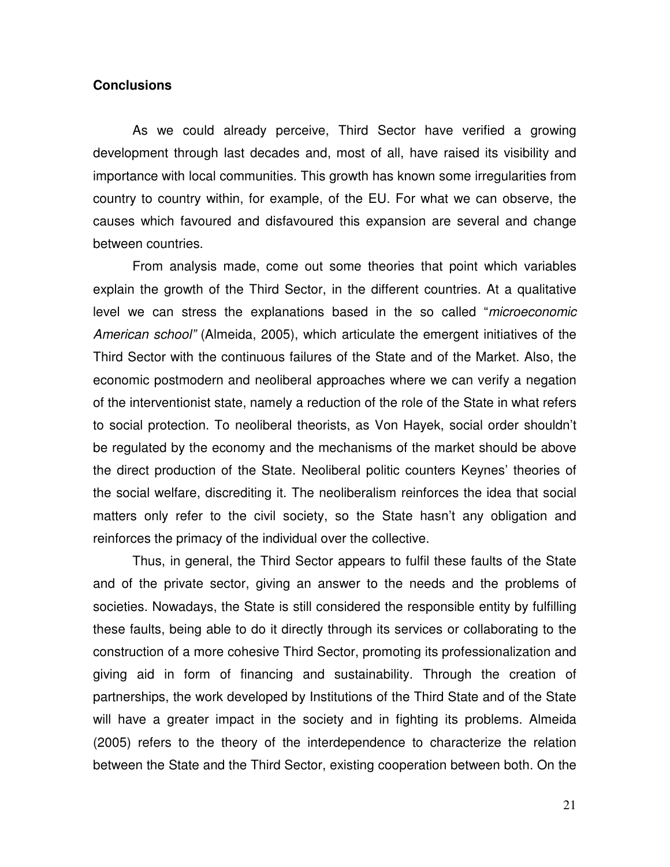## **Conclusions**

As we could already perceive, Third Sector have verified a growing development through last decades and, most of all, have raised its visibility and importance with local communities. This growth has known some irregularities from country to country within, for example, of the EU. For what we can observe, the causes which favoured and disfavoured this expansion are several and change between countries.

From analysis made, come out some theories that point which variables explain the growth of the Third Sector, in the different countries. At a qualitative level we can stress the explanations based in the so called "*microeconomic American school"* (Almeida, 2005), which articulate the emergent initiatives of the Third Sector with the continuous failures of the State and of the Market. Also, the economic postmodern and neoliberal approaches where we can verify a negation of the interventionist state, namely a reduction of the role of the State in what refers to social protection. To neoliberal theorists, as Von Hayek, social order shouldn't be regulated by the economy and the mechanisms of the market should be above the direct production of the State. Neoliberal politic counters Keynes' theories of the social welfare, discrediting it. The neoliberalism reinforces the idea that social matters only refer to the civil society, so the State hasn't any obligation and reinforces the primacy of the individual over the collective.

Thus, in general, the Third Sector appears to fulfil these faults of the State and of the private sector, giving an answer to the needs and the problems of societies. Nowadays, the State is still considered the responsible entity by fulfilling these faults, being able to do it directly through its services or collaborating to the construction of a more cohesive Third Sector, promoting its professionalization and giving aid in form of financing and sustainability. Through the creation of partnerships, the work developed by Institutions of the Third State and of the State will have a greater impact in the society and in fighting its problems. Almeida (2005) refers to the theory of the interdependence to characterize the relation between the State and the Third Sector, existing cooperation between both. On the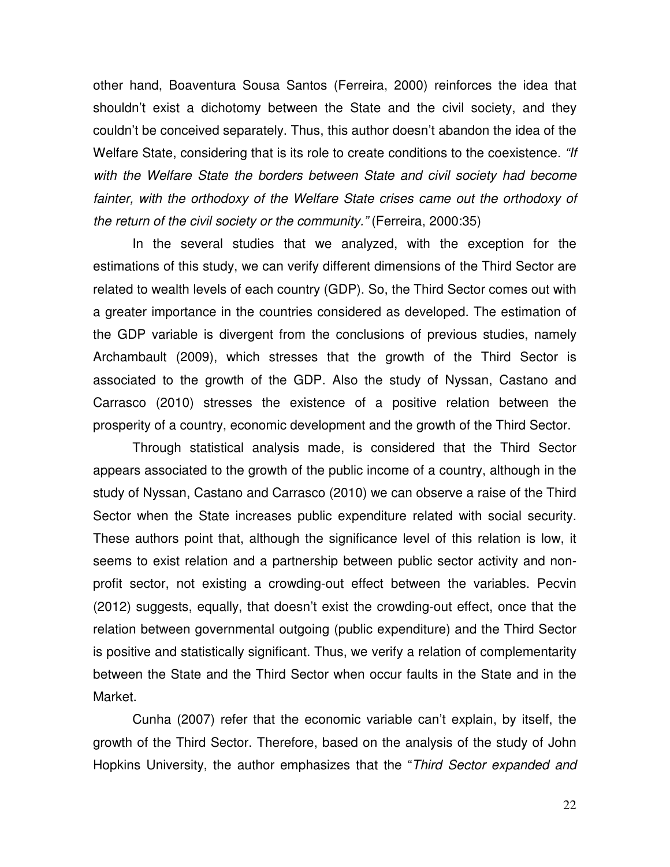other hand, Boaventura Sousa Santos (Ferreira, 2000) reinforces the idea that shouldn't exist a dichotomy between the State and the civil society, and they couldn't be conceived separately. Thus, this author doesn't abandon the idea of the Welfare State, considering that is its role to create conditions to the coexistence. *"If with the Welfare State the borders between State and civil society had become*  fainter, with the orthodoxy of the Welfare State crises came out the orthodoxy of *the return of the civil society or the community."* (Ferreira, 2000:35)

In the several studies that we analyzed, with the exception for the estimations of this study, we can verify different dimensions of the Third Sector are related to wealth levels of each country (GDP). So, the Third Sector comes out with a greater importance in the countries considered as developed. The estimation of the GDP variable is divergent from the conclusions of previous studies, namely Archambault (2009), which stresses that the growth of the Third Sector is associated to the growth of the GDP. Also the study of Nyssan, Castano and Carrasco (2010) stresses the existence of a positive relation between the prosperity of a country, economic development and the growth of the Third Sector.

Through statistical analysis made, is considered that the Third Sector appears associated to the growth of the public income of a country, although in the study of Nyssan, Castano and Carrasco (2010) we can observe a raise of the Third Sector when the State increases public expenditure related with social security. These authors point that, although the significance level of this relation is low, it seems to exist relation and a partnership between public sector activity and nonprofit sector, not existing a crowding-out effect between the variables. Pecvin (2012) suggests, equally, that doesn't exist the crowding-out effect, once that the relation between governmental outgoing (public expenditure) and the Third Sector is positive and statistically significant. Thus, we verify a relation of complementarity between the State and the Third Sector when occur faults in the State and in the Market.

Cunha (2007) refer that the economic variable can't explain, by itself, the growth of the Third Sector. Therefore, based on the analysis of the study of John Hopkins University, the author emphasizes that the "*Third Sector expanded and*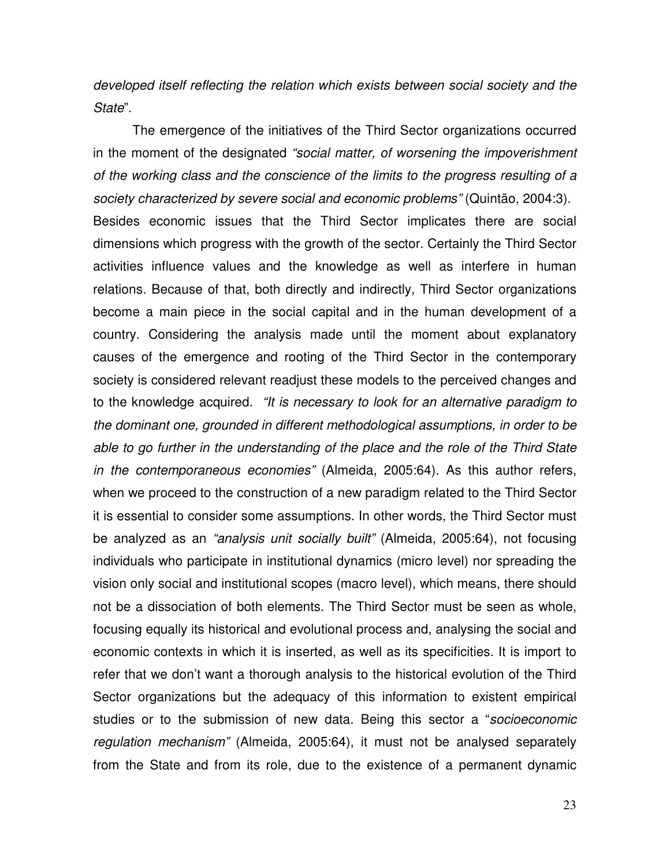*developed itself reflecting the relation which exists between social society and the State*".

The emergence of the initiatives of the Third Sector organizations occurred in the moment of the designated *"social matter, of worsening the impoverishment of the working class and the conscience of the limits to the progress resulting of a society characterized by severe social and economic problems"* (Quintão, 2004:3). Besides economic issues that the Third Sector implicates there are social dimensions which progress with the growth of the sector. Certainly the Third Sector activities influence values and the knowledge as well as interfere in human relations. Because of that, both directly and indirectly, Third Sector organizations become a main piece in the social capital and in the human development of a country. Considering the analysis made until the moment about explanatory causes of the emergence and rooting of the Third Sector in the contemporary society is considered relevant readjust these models to the perceived changes and to the knowledge acquired. *"It is necessary to look for an alternative paradigm to the dominant one, grounded in different methodological assumptions, in order to be able to go further in the understanding of the place and the role of the Third State in the contemporaneous economies"* (Almeida, 2005:64). As this author refers, when we proceed to the construction of a new paradigm related to the Third Sector it is essential to consider some assumptions. In other words, the Third Sector must be analyzed as an *"analysis unit socially built"* (Almeida, 2005:64), not focusing individuals who participate in institutional dynamics (micro level) nor spreading the vision only social and institutional scopes (macro level), which means, there should not be a dissociation of both elements. The Third Sector must be seen as whole, focusing equally its historical and evolutional process and, analysing the social and economic contexts in which it is inserted, as well as its specificities. It is import to refer that we don't want a thorough analysis to the historical evolution of the Third Sector organizations but the adequacy of this information to existent empirical studies or to the submission of new data. Being this sector a "*socioeconomic regulation mechanism"* (Almeida, 2005:64), it must not be analysed separately from the State and from its role, due to the existence of a permanent dynamic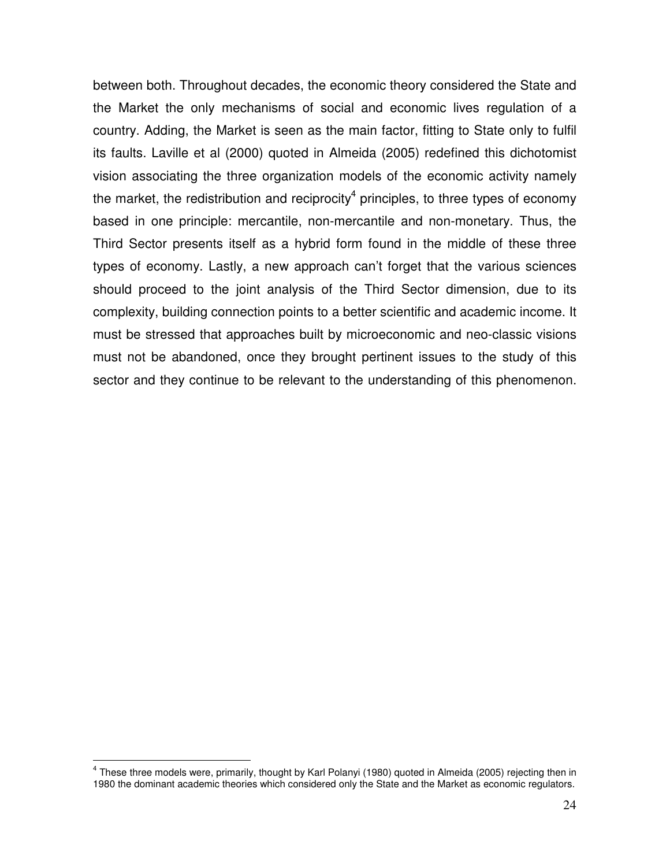between both. Throughout decades, the economic theory considered the State and the Market the only mechanisms of social and economic lives regulation of a country. Adding, the Market is seen as the main factor, fitting to State only to fulfil its faults. Laville et al (2000) quoted in Almeida (2005) redefined this dichotomist vision associating the three organization models of the economic activity namely the market, the redistribution and reciprocity<sup>4</sup> principles, to three types of economy based in one principle: mercantile, non-mercantile and non-monetary. Thus, the Third Sector presents itself as a hybrid form found in the middle of these three types of economy. Lastly, a new approach can't forget that the various sciences should proceed to the joint analysis of the Third Sector dimension, due to its complexity, building connection points to a better scientific and academic income. It must be stressed that approaches built by microeconomic and neo-classic visions must not be abandoned, once they brought pertinent issues to the study of this sector and they continue to be relevant to the understanding of this phenomenon.

 $\overline{a}$ 

<sup>&</sup>lt;sup>4</sup> These three models were, primarily, thought by Karl Polanyi (1980) quoted in Almeida (2005) rejecting then in 1980 the dominant academic theories which considered only the State and the Market as economic regulators.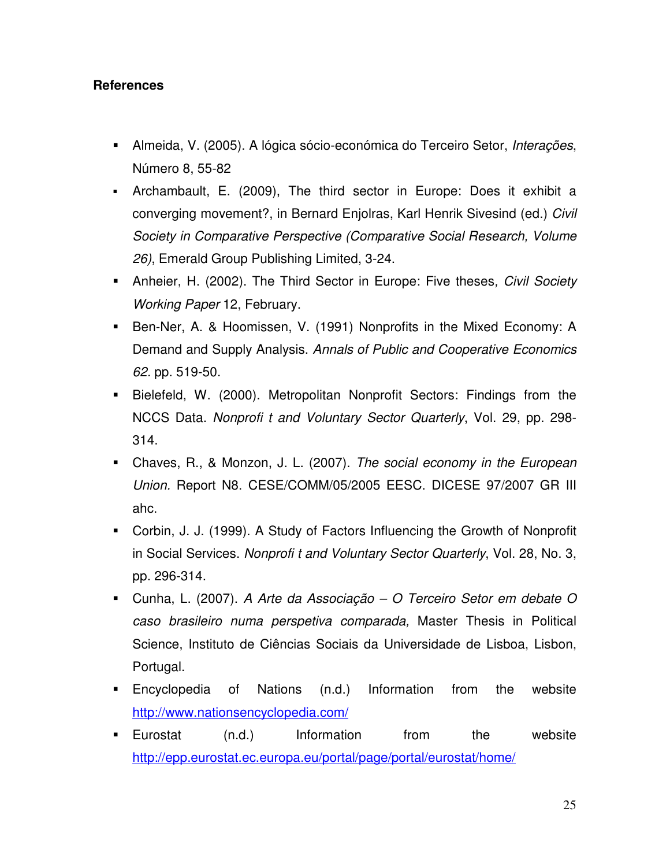## **References**

- Almeida, V. (2005). A lógica sócio-económica do Terceiro Setor, *Interações*, Número 8, 55-82
- Archambault, E. (2009), The third sector in Europe: Does it exhibit a converging movement?, in Bernard Enjolras, Karl Henrik Sivesind (ed.) *Civil Society in Comparative Perspective (Comparative Social Research, Volume 26)*, Emerald Group Publishing Limited, 3-24.
- Anheier, H. (2002). The Third Sector in Europe: Five theses*, Civil Society Working Paper* 12, February.
- Ben-Ner, A. & Hoomissen, V. (1991) Nonprofits in the Mixed Economy: A Demand and Supply Analysis. *Annals of Public and Cooperative Economics 62.* pp. 519-50.
- Bielefeld, W. (2000). Metropolitan Nonprofit Sectors: Findings from the NCCS Data. *Nonprofi t and Voluntary Sector Quarterly*, Vol. 29, pp. 298- 314.
- Chaves, R., & Monzon, J. L. (2007). *The social economy in the European Union.* Report N8. CESE/COMM/05/2005 EESC. DICESE 97/2007 GR III ahc.
- Corbin, J. J. (1999). A Study of Factors Influencing the Growth of Nonprofit in Social Services. *Nonprofi t and Voluntary Sector Quarterly*, Vol. 28, No. 3, pp. 296-314.
- Cunha, L. (2007). *A Arte da Associação O Terceiro Setor em debate O caso brasileiro numa perspetiva comparada,* Master Thesis in Political Science, Instituto de Ciências Sociais da Universidade de Lisboa, Lisbon, Portugal.
- Encyclopedia of Nations (n.d.) Information from the website http://www.nationsencyclopedia.com/
- **Eurostat** (n.d.) Information from the website http://epp.eurostat.ec.europa.eu/portal/page/portal/eurostat/home/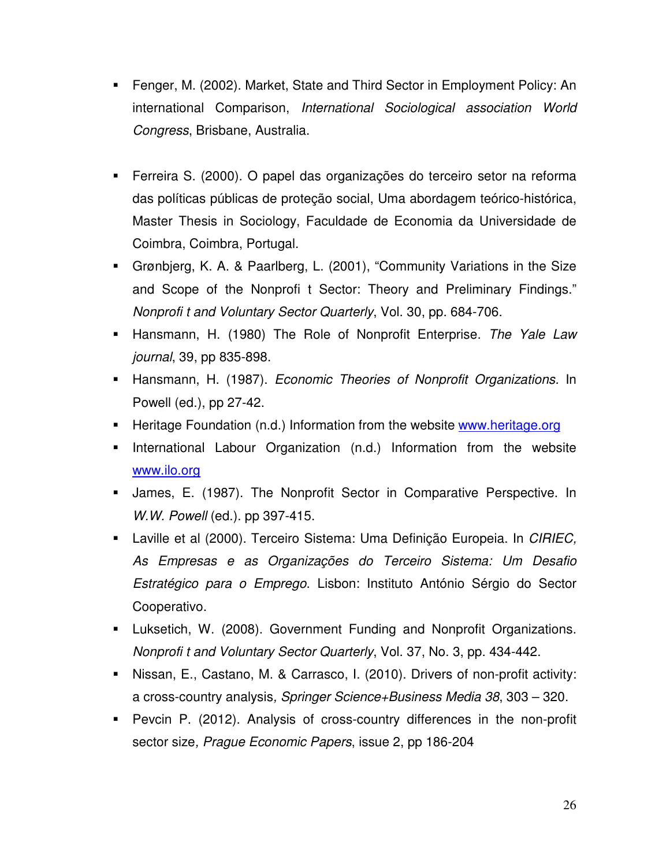- Fenger, M. (2002). Market, State and Third Sector in Employment Policy: An international Comparison, *International Sociological association World Congress*, Brisbane, Australia.
- Ferreira S. (2000). O papel das organizações do terceiro setor na reforma das políticas públicas de proteção social, Uma abordagem teórico-histórica, Master Thesis in Sociology, Faculdade de Economia da Universidade de Coimbra, Coimbra, Portugal.
- Grønbjerg, K. A. & Paarlberg, L. (2001), "Community Variations in the Size and Scope of the Nonprofi t Sector: Theory and Preliminary Findings." *Nonprofi t and Voluntary Sector Quarterly*, Vol. 30, pp. 684-706.
- Hansmann, H. (1980) The Role of Nonprofit Enterprise. *The Yale Law journal*, 39, pp 835-898.
- Hansmann, H. (1987). *Economic Theories of Nonprofit Organizations.* In Powell (ed.), pp 27-42.
- **Heritage Foundation (n.d.) Information from the website www.heritage.org**
- International Labour Organization (n.d.) Information from the website www.ilo.org
- James, E. (1987). The Nonprofit Sector in Comparative Perspective. In *W.W. Powell* (ed.). pp 397-415.
- Laville et al (2000). Terceiro Sistema: Uma Definição Europeia. In *CIRIEC, As Empresas e as Organizações do Terceiro Sistema: Um Desafio Estratégico para o Emprego*. Lisbon: Instituto António Sérgio do Sector Cooperativo.
- Luksetich, W. (2008). Government Funding and Nonprofit Organizations. *Nonprofi t and Voluntary Sector Quarterly*, Vol. 37, No. 3, pp. 434-442.
- Nissan, E., Castano, M. & Carrasco, I. (2010). Drivers of non-profit activity: a cross-country analysis*, Springer Science+Business Media 38*, 303 – 320.
- Pevcin P. (2012). Analysis of cross-country differences in the non-profit sector size*, Prague Economic Papers*, issue 2, pp 186-204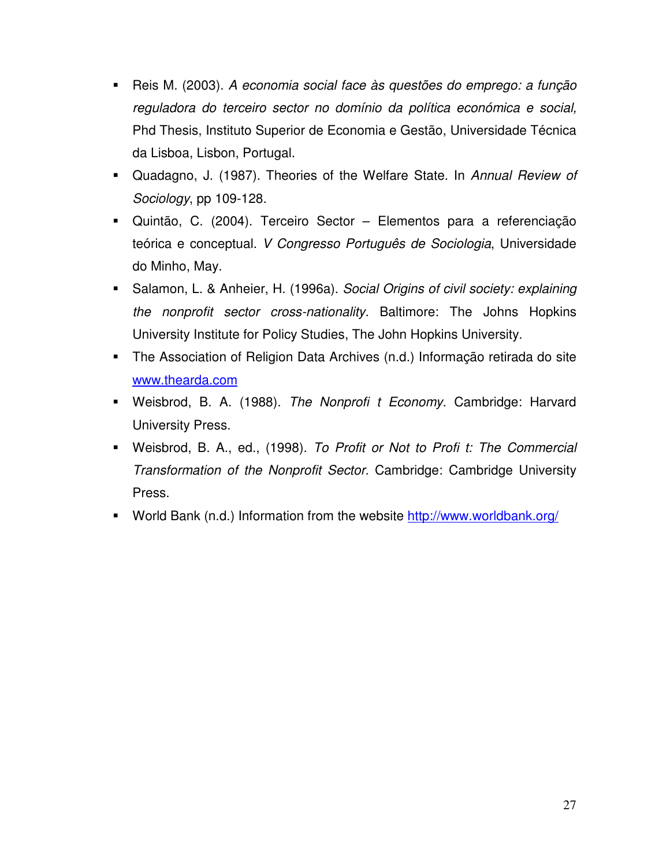- Reis M. (2003). *A economia social face às questões do emprego: a função reguladora do terceiro sector no domínio da política económica e social,*  Phd Thesis, Instituto Superior de Economia e Gestão, Universidade Técnica da Lisboa, Lisbon, Portugal.
- Quadagno, J. (1987). Theories of the Welfare State. In *Annual Review of Sociology*, pp 109-128.
- Quintão, C. (2004). Terceiro Sector Elementos para a referenciação teórica e conceptual. *V Congresso Português de Sociologia*, Universidade do Minho, May.
- Salamon, L. & Anheier, H. (1996a). *Social Origins of civil society: explaining the nonprofit sector cross-nationality.* Baltimore: The Johns Hopkins University Institute for Policy Studies, The John Hopkins University.
- The Association of Religion Data Archives (n.d.) Informação retirada do site www.thearda.com
- Weisbrod, B. A. (1988). *The Nonprofi t Economy*. Cambridge: Harvard University Press.
- Weisbrod, B. A., ed., (1998). *To Profit or Not to Profi t: The Commercial Transformation of the Nonprofit Sector.* Cambridge: Cambridge University Press.
- World Bank (n.d.) Information from the website http://www.worldbank.org/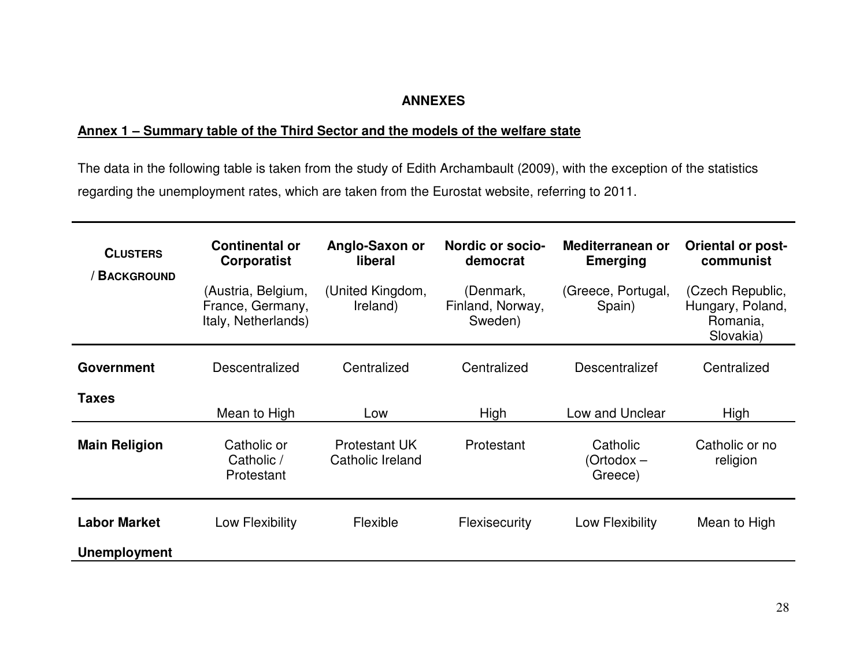# **ANNEXES**

## **Annex 1 – Summary table of the Third Sector and the models of the welfare state**

The data in the following table is taken from the study of Edith Archambault (2009), with the exception of the statistics regarding the unemployment rates, which are taken from the Eurostat website, referring to 2011.

| <b>CLUSTERS</b><br><b>BACKGROUND</b> | <b>Continental or</b><br><b>Corporatist</b>                   | Anglo-Saxon or<br>liberal                | Nordic or socio-<br>democrat             | Mediterranean or<br><b>Emerging</b> | <b>Oriental or post-</b><br>communist                         |
|--------------------------------------|---------------------------------------------------------------|------------------------------------------|------------------------------------------|-------------------------------------|---------------------------------------------------------------|
|                                      | (Austria, Belgium,<br>France, Germany,<br>Italy, Netherlands) | (United Kingdom,<br>Ireland)             | (Denmark,<br>Finland, Norway,<br>Sweden) | (Greece, Portugal,<br>Spain)        | (Czech Republic,<br>Hungary, Poland,<br>Romania,<br>Slovakia) |
| <b>Government</b>                    | Descentralized                                                | Centralized                              | Centralized                              | <b>Descentralizef</b>               | Centralized                                                   |
| <b>Taxes</b>                         | Mean to High                                                  | Low                                      | High                                     | Low and Unclear                     | High                                                          |
| <b>Main Religion</b>                 | Catholic or<br>Catholic /<br>Protestant                       | <b>Protestant UK</b><br>Catholic Ireland | Protestant                               | Catholic<br>(Ortodox –<br>Greece)   | Catholic or no<br>religion                                    |
| <b>Labor Market</b>                  | Low Flexibility                                               | Flexible                                 | Flexisecurity                            | Low Flexibility                     | Mean to High                                                  |
| <b>Unemployment</b>                  |                                                               |                                          |                                          |                                     |                                                               |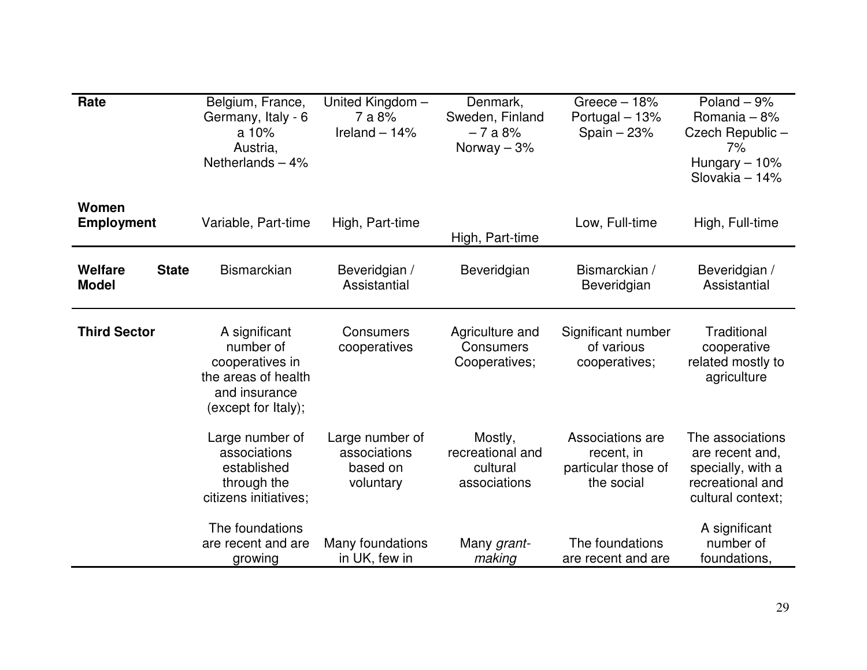| Rate                                           | Belgium, France,<br>Germany, Italy - 6<br>a $10%$<br>Austria.<br>Netherlands $-4%$                           | United Kingdom-<br>7 a 8%<br>Ireland $-14%$              | Denmark,<br>Sweden, Finland<br>$-7a8%$<br>Norway $-3%$  | Greece $-18%$<br>Portugal - 13%<br>Spain $-23%$                     | Poland $-9%$<br>Romania - 8%<br>Czech Republic -<br>7%<br>Hungary $-10%$<br>Slovakia - 14%        |
|------------------------------------------------|--------------------------------------------------------------------------------------------------------------|----------------------------------------------------------|---------------------------------------------------------|---------------------------------------------------------------------|---------------------------------------------------------------------------------------------------|
| Women<br><b>Employment</b>                     | Variable, Part-time                                                                                          | High, Part-time                                          | High, Part-time                                         | Low, Full-time                                                      | High, Full-time                                                                                   |
| <b>Welfare</b><br><b>State</b><br><b>Model</b> | <b>Bismarckian</b>                                                                                           | Beveridgian /<br>Assistantial                            | Beveridgian                                             | Bismarckian /<br>Beveridgian                                        | Beveridgian /<br>Assistantial                                                                     |
| <b>Third Sector</b>                            | A significant<br>number of<br>cooperatives in<br>the areas of health<br>and insurance<br>(except for Italy); | <b>Consumers</b><br>cooperatives                         | Agriculture and<br>Consumers<br>Cooperatives;           | Significant number<br>of various<br>cooperatives;                   | Traditional<br>cooperative<br>related mostly to<br>agriculture                                    |
|                                                | Large number of<br>associations<br>established<br>through the<br>citizens initiatives;                       | Large number of<br>associations<br>based on<br>voluntary | Mostly,<br>recreational and<br>cultural<br>associations | Associations are<br>recent, in<br>particular those of<br>the social | The associations<br>are recent and,<br>specially, with a<br>recreational and<br>cultural context; |
|                                                | The foundations<br>are recent and are<br>growing                                                             | Many foundations<br>in UK, few in                        | Many grant-<br>making                                   | The foundations<br>are recent and are                               | A significant<br>number of<br>foundations,                                                        |